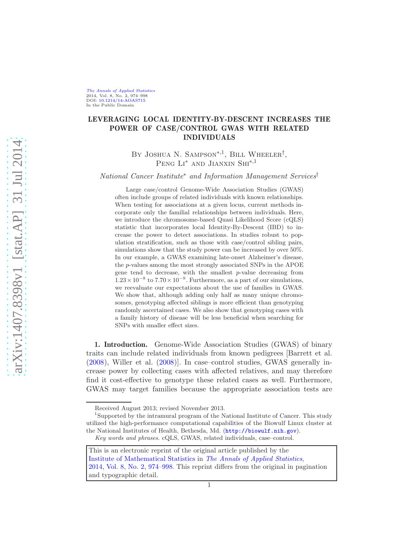[The Annals of Applied Statistics](http://www.imstat.org/aoas/) 2014, Vol. 8, No. 2, 974–998 DOI: [10.1214/14-AOAS715](http://dx.doi.org/10.1214/14-AOAS715) In the Public Domain

# LEVERAGING LOCAL IDENTITY-BY-DESCENT INCREASES THE POWER OF CASE/CONTROL GWAS WITH RELATED INDIVIDUALS

BY JOSHUA N. SAMPSON<sup>\*,1</sup>, BILL WHEELER<sup>†</sup>, Peng Li<sup>∗</sup> and Jianxin Shi∗,<sup>1</sup>

National Cancer Institute<sup>∗</sup> and Information Management Services†

Large case/control Genome-Wide Association Studies (GWAS) often include groups of related individuals with known relationships. When testing for associations at a given locus, current methods incorporate only the familial relationships between individuals. Here, we introduce the chromosome-based Quasi Likelihood Score (cQLS) statistic that incorporates local Identity-By-Descent (IBD) to increase the power to detect associations. In studies robust to population stratification, such as those with case/control sibling pairs, simulations show that the study power can be increased by over  $50\%$ . In our example, a GWAS examining late-onset Alzheimer's disease, the p-values among the most strongly associated SNPs in the APOE gene tend to decrease, with the smallest p-value decreasing from  $1.23 \times 10^{-8}$  to  $7.70 \times 10^{-9}$ . Furthermore, as a part of our simulations, we reevaluate our expectations about the use of families in GWAS. We show that, although adding only half as many unique chromosomes, genotyping affected siblings is more efficient than genotyping randomly ascertained cases. We also show that genotyping cases with a family history of disease will be less beneficial when searching for SNPs with smaller effect sizes.

1. Introduction. Genome-Wide Association Studies (GWAS) of binary traits can include related individuals from known pedigrees [Barrett et al. [\(2008\)](#page-23-0), Willer et al. [\(2008\)](#page-25-0)]. In case–control studies, GWAS generally increase power by collecting cases with affected relatives, and may therefore find it cost-effective to genotype these related cases as well. Furthermore, GWAS may target families because the appropriate association tests are

Received August 2013; revised November 2013.

<sup>&</sup>lt;sup>1</sup>Supported by the intramural program of the National Institute of Cancer. This study utilized the high-performance computational capabilities of the Biowulf Linux cluster at the National Institutes of Health, Bethesda, Md. (<http://biowulf.nih.gov>). Key words and phrases. cQLS, GWAS, related individuals, case–control.

This is an electronic reprint of the original article published by the [Institute of Mathematical Statistics](http://www.imstat.org) in [The Annals of Applied Statistics](http://www.imstat.org/aoas/), [2014, Vol. 8, No. 2, 974–998.](http://dx.doi.org/10.1214/14-AOAS715) This reprint differs from the original in pagination and typographic detail.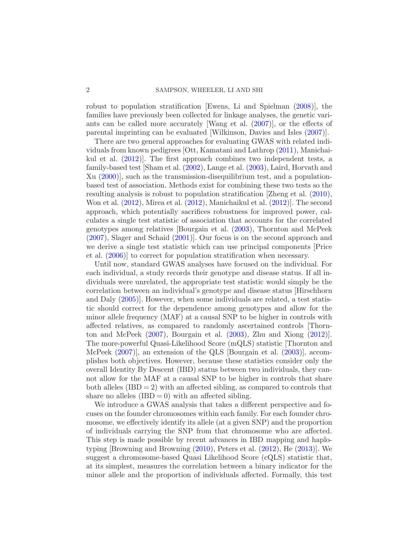robust to population stratification [Ewens, Li and Spielman [\(2008](#page-23-1))], the families have previously been collected for linkage analyses, the genetic variants can be called more accurately [Wang et al. [\(2007](#page-24-0))], or the effects of parental imprinting can be evaluated [Wilkinson, Davies and Isles [\(2007\)](#page-25-1)].

There are two general approaches for evaluating GWAS with related individuals from known pedigrees [Ott, Kamatani and Lathrop [\(2011](#page-24-1)), Manichaikul et al. [\(2012\)](#page-24-2)]. The first approach combines two independent tests, a family-based test [Sham et al. [\(2002](#page-24-3)), Lange et al. [\(2003](#page-24-4)), Laird, Horvath and Xu [\(2000](#page-24-5))], such as the transmission-disequilibrium test, and a populationbased test of association. Methods exist for combining these two tests so the resulting analysis is robust to population stratification [Zheng et al. [\(2010](#page-25-2)), Won et al. [\(2012](#page-25-3)), Mirea et al. [\(2012\)](#page-24-6), Manichaikul et al. [\(2012](#page-24-2))]. The second approach, which potentially sacrifices robustness for improved power, calculates a single test statistic of association that accounts for the correlated genotypes among relatives [Bourgain et al. [\(2003](#page-23-2)), Thornton and McPeek [\(2007\)](#page-24-7), Slager and Schaid [\(2001\)](#page-24-8)]. Our focus is on the second approach and we derive a single test statistic which can use principal components [Price et al. [\(2006\)](#page-24-9)] to correct for population stratification when necessary.

Until now, standard GWAS analyses have focused on the individual. For each individual, a study records their genotype and disease status. If all individuals were unrelated, the appropriate test statistic would simply be the correlation between an individual's genotype and disease status [Hirschhorn and Daly [\(2005](#page-23-3))]. However, when some individuals are related, a test statistic should correct for the dependence among genotypes and allow for the minor allele frequency (MAF) at a causal SNP to be higher in controls with affected relatives, as compared to randomly ascertained controls [Thornton and McPeek [\(2007](#page-24-7)), Bourgain et al. [\(2003](#page-23-2)), Zhu and Xiong [\(2012](#page-25-4))]. The more-powerful Quasi-Likelihood Score (mQLS) statistic [Thornton and McPeek  $(2007)$ , an extension of the QLS [Bourgain et al. [\(2003](#page-23-2))], accomplishes both objectives. However, because these statistics consider only the overall Identity By Descent (IBD) status between two individuals, they cannot allow for the MAF at a causal SNP to be higher in controls that share both alleles  $(IBD = 2)$  with an affected sibling, as compared to controls that share no alleles  $(IBD = 0)$  with an affected sibling.

We introduce a GWAS analysis that takes a different perspective and focuses on the founder chromosomes within each family. For each founder chromosome, we effectively identify its allele (at a given SNP) and the proportion of individuals carrying the SNP from that chromosome who are affected. This step is made possible by recent advances in IBD mapping and haplotyping [Browning and Browning [\(2010](#page-23-4)), Peters et al. [\(2012](#page-24-10)), He [\(2013\)](#page-23-5)]. We suggest a chromosome-based Quasi Likelihood Score (cQLS) statistic that, at its simplest, measures the correlation between a binary indicator for the minor allele and the proportion of individuals affected. Formally, this test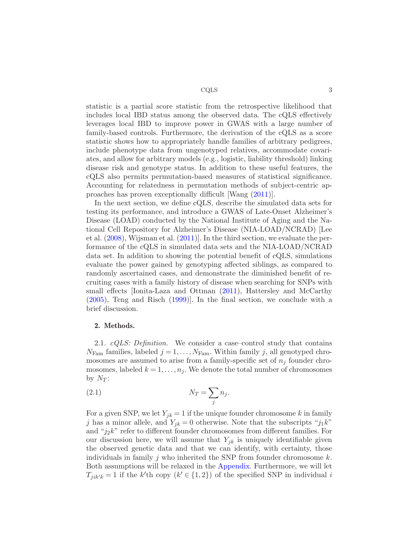statistic is a partial score statistic from the retrospective likelihood that includes local IBD status among the observed data. The cQLS effectively leverages local IBD to improve power in GWAS with a large number of family-based controls. Furthermore, the derivation of the cQLS as a score statistic shows how to appropriately handle families of arbitrary pedigrees, include phenotype data from ungenotyped relatives, accommodate covariates, and allow for arbitrary models (e.g., logistic, liability threshold) linking disease risk and genotype status. In addition to these useful features, the cQLS also permits permutation-based measures of statistical significance. Accounting for relatedness in permutation methods of subject-centric approaches has proven exceptionally difficult [Wang [\(2011](#page-24-11))].

In the next section, we define cQLS, describe the simulated data sets for testing its performance, and introduce a GWAS of Late-Onset Alzheimer's Disease (LOAD) conducted by the National Institute of Aging and the National Cell Repository for Alzheimer's Disease (NIA-LOAD/NCRAD) [Lee et al. [\(2008](#page-24-12)), Wijsman et al. [\(2011\)](#page-24-13)]. In the third section, we evaluate the performance of the cQLS in simulated data sets and the NIA-LOAD/NCRAD data set. In addition to showing the potential benefit of cQLS, simulations evaluate the power gained by genotyping affected siblings, as compared to randomly ascertained cases, and demonstrate the diminished benefit of recruiting cases with a family history of disease when searching for SNPs with small effects [Ionita-Laza and Ottman [\(2011\)](#page-23-6), Hattersley and McCarthy [\(2005\)](#page-23-7), Teng and Risch [\(1999](#page-24-14))]. In the final section, we conclude with a brief discussion.

#### 2. Methods.

2.1.  $cQLS$ : Definition. We consider a case–control study that contains  $N_{\text{Fam}}$  families, labeled  $j = 1, \ldots, N_{\text{Fam}}$ . Within family j, all genotyped chromosomes are assumed to arise from a family-specific set of  $n_j$  founder chromosomes, labeled  $k = 1, \ldots, n_j$ . We denote the total number of chromosomes by  $N_T$ :

$$
(2.1) \t\t N_T = \sum_j n_j.
$$

For a given SNP, we let  $Y_{jk} = 1$  if the unique founder chromosome k in family j has a minor allele, and  $Y_{ik} = 0$  otherwise. Note that the subscripts "j<sub>1</sub>k" and " $j_2k$ " refer to different founder chromosomes from different families. For our discussion here, we will assume that  $Y_{ik}$  is uniquely identifiable given the observed genetic data and that we can identify, with certainty, those individuals in family j who inherited the SNP from founder chromosome  $k$ . Both assumptions will be relaxed in the [Appendix.](#page-11-0) Furthermore, we will let  $T_{jik'k} = 1$  if the k'th copy  $(k' \in \{1,2\})$  of the specified SNP in individual i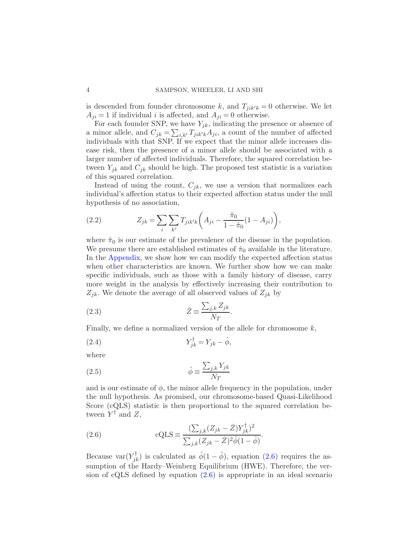is descended from founder chromosome k, and  $T_{jik'k} = 0$  otherwise. We let  $A_{ji} = 1$  if individual *i* is affected, and  $A_{ji} = 0$  otherwise.

For each founder SNP, we have  $Y_{jk}$ , indicating the presence or absence of a minor allele, and  $C_{jk} = \sum_{i,k'} T_{jik'k} A_{ji}$ , a count of the number of affected individuals with that SNP. If we expect that the minor allele increases disease risk, then the presence of a minor allele should be associated with a larger number of affected individuals. Therefore, the squared correlation between  $Y_{jk}$  and  $C_{jk}$  should be high. The proposed test statistic is a variation of this squared correlation.

Instead of using the count,  $C_{ik}$ , we use a version that normalizes each individual's affection status to their expected affection status under the null hypothesis of no association,

(2.2) 
$$
Z_{jk} = \sum_{i} \sum_{k'} T_{jik'k} \bigg( A_{ji} - \frac{\hat{\pi}_0}{1 - \hat{\pi}_0} (1 - A_{ji}) \bigg),
$$

where  $\hat{\pi}_0$  is our estimate of the prevalence of the disease in the population. We presume there are established estimates of  $\hat{\pi}_0$  available in the literature. In the [Appendix,](#page-11-0) we show how we can modify the expected affection status when other characteristics are known. We further show how we can make specific individuals, such as those with a family history of disease, carry more weight in the analysis by effectively increasing their contribution to  $Z_{jk}$ . We denote the average of all observed values of  $Z_{jk}$  by

$$
\bar{Z} \equiv \frac{\sum_{j,k} Z_{jk}}{N_T}.
$$

Finally, we define a normalized version of the allele for chromosome  $k$ ,

$$
(2.4) \t\t Y_{jk}^{\dagger} = Y_{jk} - \hat{\phi},
$$

where

(2.5) 
$$
\hat{\phi} \equiv \frac{\sum_{j,k} Y_{jk}}{N_T}
$$

and is our estimate of  $\phi$ , the minor allele frequency in the population, under the null hypothesis. As promised, our chromosome-based Quasi-Likelihood Score (cQLS) statistic is then proportional to the squared correlation between  $Y^{\dagger}$  and  $Z$ ,

<span id="page-3-0"></span>(2.6) 
$$
\text{cQLS} \equiv \frac{(\sum_{j,k} (Z_{jk} - \bar{Z}) Y_{jk}^{\dagger})^2}{\sum_{j,k} (Z_{jk} - \bar{Z})^2 \hat{\phi} (1 - \hat{\phi})}.
$$

Because var $(Y_{jk}^{\dagger})$  is calculated as  $\hat{\phi}(1-\hat{\phi})$ , equation [\(2.6\)](#page-3-0) requires the assumption of the Hardy–Weinberg Equilibrium (HWE). Therefore, the version of cQLS defined by equation [\(2.6\)](#page-3-0) is appropriate in an ideal scenario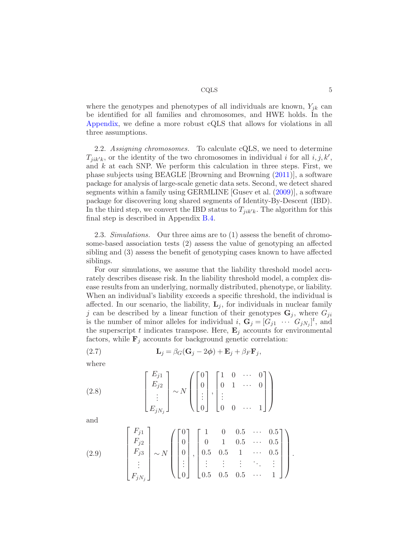where the genotypes and phenotypes of all individuals are known,  $Y_{jk}$  can be identified for all families and chromosomes, and HWE holds. In the [Appendix,](#page-11-0) we define a more robust cQLS that allows for violations in all three assumptions.

2.2. Assigning chromosomes. To calculate cQLS, we need to determine  $T_{jik'k}$ , or the identity of the two chromosomes in individual *i* for all  $i, j, k'$ , and  $k$  at each SNP. We perform this calculation in three steps. First, we phase subjects using BEAGLE [Browning and Browning [\(2011\)](#page-23-8)], a software package for analysis of large-scale genetic data sets. Second, we detect shared segments within a family using GERMLINE [Gusev et al. [\(2009\)](#page-23-9)], a software package for discovering long shared segments of Identity-By-Descent (IBD). In the third step, we convert the IBD status to  $T_{jik'k}$ . The algorithm for this final step is described in Appendix [B.4.](#page-21-0)

2.3. Simulations. Our three aims are to (1) assess the benefit of chromosome-based association tests (2) assess the value of genotyping an affected sibling and (3) assess the benefit of genotyping cases known to have affected siblings.

For our simulations, we assume that the liability threshold model accurately describes disease risk. In the liability threshold model, a complex disease results from an underlying, normally distributed, phenotype, or liability. When an individual's liability exceeds a specific threshold, the individual is affected. In our scenario, the liability,  $L_j$ , for individuals in nuclear family j can be described by a linear function of their genotypes  $\mathbf{G}_j$ , where  $G_{ji}$ is the number of minor alleles for individual  $i$ ,  $\mathbf{G}_j = [G_{j1} \cdots G_{jN_j}]^t$ , and the superscript t indicates transpose. Here,  $\mathbf{E}_j$  accounts for environmental factors, while  $\mathbf{F}_i$  accounts for background genetic correlation:

(2.7) 
$$
\mathbf{L}_{j} = \beta_{G}(\mathbf{G}_{j} - 2\boldsymbol{\phi}) + \mathbf{E}_{j} + \beta_{F}\mathbf{F}_{j},
$$

where

(2.8) 
$$
\begin{bmatrix} E_{j1} \\ E_{j2} \\ \vdots \\ E_{jN_j} \end{bmatrix} \sim N \left( \begin{bmatrix} 0 \\ 0 \\ \vdots \\ 0 \end{bmatrix}, \begin{bmatrix} 1 & 0 & \cdots & 0 \\ 0 & 1 & \cdots & 0 \\ \vdots & & & \\ 0 & 0 & \cdots & 1 \end{bmatrix} \right)
$$

and

(2.9) 
$$
\begin{bmatrix} F_{j1} \\ F_{j2} \\ F_{j3} \\ \vdots \\ F_{jN_j} \end{bmatrix} \sim N \left( \begin{bmatrix} 0 \\ 0 \\ 0 \\ \vdots \\ 0 \end{bmatrix}, \begin{bmatrix} 1 & 0 & 0.5 & \cdots & 0.5 \\ 0 & 1 & 0.5 & \cdots & 0.5 \\ 0.5 & 0.5 & 1 & \cdots & 0.5 \\ \vdots & \vdots & \vdots & \ddots & \vdots \\ 0.5 & 0.5 & 0.5 & \cdots & 1 \end{bmatrix} \right).
$$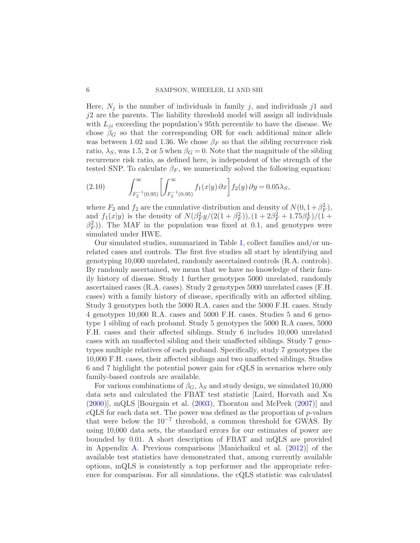Here,  $N_i$  is the number of individuals in family j, and individuals j1 and j2 are the parents. The liability threshold model will assign all individuals with  $L_{ji}$  exceeding the population's 95th percentile to have the disease. We chose  $\beta_G$  so that the corresponding OR for each additional minor allele was between 1.02 and 1.36. We chose  $\beta_F$  so that the sibling recurrence risk ratio,  $\lambda_S$ , was 1.5, 2 or 5 when  $\beta_G = 0$ . Note that the magnitude of the sibling recurrence risk ratio, as defined here, is independent of the strength of the tested SNP. To calculate  $\beta_F$ , we numerically solved the following equation:

(2.10) 
$$
\int_{F_2^{-1}(0.95)}^{\infty} \left[ \int_{F_2^{-1}(0.95)}^{\infty} f_1(x|y) \, \partial x \right] f_2(y) \, \partial y = 0.05 \lambda_S,
$$

where  $F_2$  and  $f_2$  are the cumulative distribution and density of  $N(0, 1+\beta_F^2)$ , and  $f_1(x|y)$  is the density of  $N(\beta_F^2 y/(2(1+\beta_F^2)), (1+2\beta_F^2+1.75\beta_F^4)/(1+\beta_F^2))$  $(\beta_F^2)$ ). The MAF in the population was fixed at 0.1, and genotypes were simulated under HWE.

Our simulated studies, summarized in Table [1,](#page-6-0) collect families and/or unrelated cases and controls. The first five studies all start by identifying and genotyping 10,000 unrelated, randomly ascertained controls (R.A. controls). By randomly ascertained, we mean that we have no knowledge of their family history of disease. Study 1 further genotypes 5000 unrelated, randomly ascertained cases (R.A. cases). Study 2 genotypes 5000 unrelated cases (F.H. cases) with a family history of disease, specifically with an affected sibling. Study 3 genotypes both the 5000 R.A. cases and the 5000 F.H. cases. Study 4 genotypes 10,000 R.A. cases and 5000 F.H. cases. Studies 5 and 6 genotype 1 sibling of each proband. Study 5 genotypes the 5000 R.A cases, 5000 F.H. cases and their affected siblings. Study 6 includes 10,000 unrelated cases with an unaffected sibling and their unaffected siblings. Study 7 genotypes multiple relatives of each proband. Specifically, study 7 genotypes the 10,000 F.H. cases, their affected siblings and two unaffected siblings. Studies 6 and 7 highlight the potential power gain for cQLS in scenarios where only family-based controls are available.

For various combinations of  $\beta_G$ ,  $\lambda_S$  and study design, we simulated 10,000 data sets and calculated the FBAT test statistic [Laird, Horvath and Xu  $(2000)$ , mQLS [Bourgain et al.  $(2003)$ , Thornton and McPeek  $(2007)$ ] and  $cQLS$  for each data set. The power was defined as the proportion of  $p$ -values that were below the  $10^{-7}$  threshold, a common threshold for GWAS. By using 10,000 data sets, the standard errors for our estimates of power are bounded by 0.01. A short description of FBAT and mQLS are provided in Appendix [A.](#page-13-0) Previous comparisons [Manichaikul et al. [\(2012](#page-24-2))] of the available test statistics have demonstrated that, among currently available options, mQLS is consistently a top performer and the appropriate reference for comparison. For all simulations, the cQLS statistic was calculated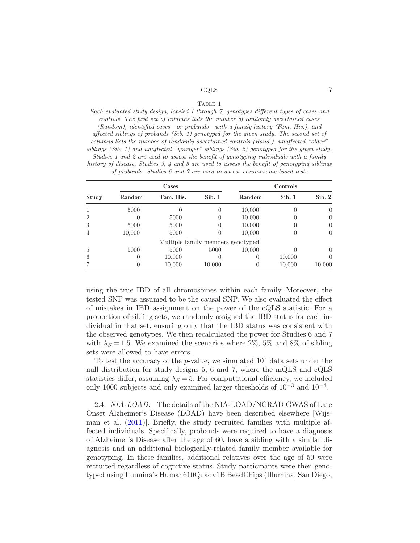#### TABLE 1

<span id="page-6-0"></span>Each evaluated study design, labeled 1 through 7, genotypes different types of cases and controls. The first set of columns lists the number of randomly ascertained cases (Random), identified cases—or probands—with a family history (Fam. His.), and affected siblings of probands (Sib. 1) genotyped for the given study. The second set of columns lists the number of randomly ascertained controls (Rand.), unaffected "older" siblings (Sib. 1) and unaffected "younger" siblings (Sib. 2) genotyped for the given study. Studies 1 and 2 are used to assess the benefit of genotyping individuals with a family history of disease. Studies 3, 4 and 5 are used to assess the benefit of genotyping siblings of probands. Studies 6 and 7 are used to assess chromosome-based tests

|                | Cases            |                                   |                  | Controls         |        |                  |
|----------------|------------------|-----------------------------------|------------------|------------------|--------|------------------|
| Study          | Random           | Fam. His.                         | Sib. 1           | Random           | Sib. 1 | Sib.2            |
|                | 5000             |                                   | 0                | 10,000           |        | $\theta$         |
| $\overline{2}$ | 0                | 5000                              | 0                | 10,000           |        | $\theta$         |
| 3              | 5000             | 5000                              | 0                | 10,000           |        | $\theta$         |
| 4              | 10,000           | 5000                              | 0                | 10,000           |        | $\left( \right)$ |
|                |                  | Multiple family members genotyped |                  |                  |        |                  |
| 5              | 5000             | 5000                              | 5000             | 10,000           |        | $\left( \right)$ |
| 6              | $\left( \right)$ | 10,000                            | $\left( \right)$ | $_{0}$           | 10,000 | $\left( \right)$ |
|                | 0                | 10,000                            | 10,000           | $\left( \right)$ | 10,000 | 10,000           |

using the true IBD of all chromosomes within each family. Moreover, the tested SNP was assumed to be the causal SNP. We also evaluated the effect of mistakes in IBD assignment on the power of the cQLS statistic. For a proportion of sibling sets, we randomly assigned the IBD status for each individual in that set, ensuring only that the IBD status was consistent with the observed genotypes. We then recalculated the power for Studies 6 and 7 with  $\lambda_S = 1.5$ . We examined the scenarios where 2%, 5% and 8% of sibling sets were allowed to have errors.

To test the accuracy of the p-value, we simulated  $10^7$  data sets under the null distribution for study designs 5, 6 and 7, where the mQLS and cQLS statistics differ, assuming  $\lambda_s = 5$ . For computational efficiency, we included only 1000 subjects and only examined larger thresholds of  $10^{-3}$  and  $10^{-4}$ .

2.4. NIA-LOAD. The details of the NIA-LOAD/NCRAD GWAS of Late Onset Alzheimer's Disease (LOAD) have been described elsewhere [Wijsman et al.  $(2011)$ . Briefly, the study recruited families with multiple affected individuals. Specifically, probands were required to have a diagnosis of Alzheimer's Disease after the age of 60, have a sibling with a similar diagnosis and an additional biologically-related family member available for genotyping. In these families, additional relatives over the age of 50 were recruited regardless of cognitive status. Study participants were then genotyped using Illumina's Human610Quadv1B BeadChips (Illumina, San Diego,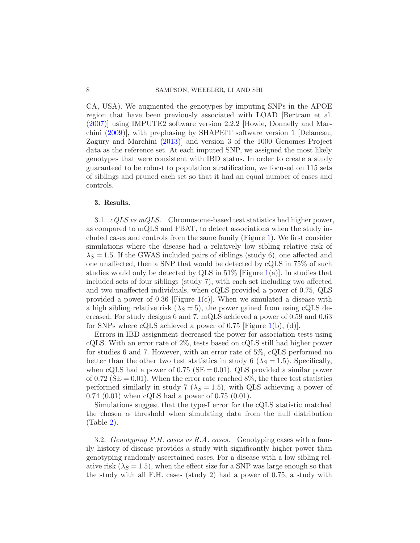CA, USA). We augmented the genotypes by imputing SNPs in the APOE region that have been previously associated with LOAD [Bertram et al. [\(2007\)](#page-23-10)] using IMPUTE2 software version 2.2.2 [Howie, Donnelly and Marchini [\(2009\)](#page-23-11)], with prephasing by SHAPEIT software version 1 [Delaneau, Zagury and Marchini [\(2013](#page-23-12))] and version 3 of the 1000 Genomes Project data as the reference set. At each imputed SNP, we assigned the most likely genotypes that were consistent with IBD status. In order to create a study guaranteed to be robust to population stratification, we focused on 115 sets of siblings and pruned each set so that it had an equal number of cases and controls.

## 3. Results.

3.1.  $cQLS$  vs mQLS. Chromosome-based test statistics had higher power, as compared to mQLS and FBAT, to detect associations when the study included cases and controls from the same family (Figure [1\)](#page-8-0). We first consider simulations where the disease had a relatively low sibling relative risk of  $\lambda_S = 1.5$ . If the GWAS included pairs of siblings (study 6), one affected and one unaffected, then a SNP that would be detected by cQLS in 75% of such studies would only be detected by QLS in  $51\%$  [Figure [1\(](#page-8-0)a)]. In studies that included sets of four siblings (study 7), with each set including two affected and two unaffected individuals, when cQLS provided a power of 0.75, QLS provided a power of 0.36 [Figure [1\(](#page-8-0)c)]. When we simulated a disease with a high sibling relative risk  $(\lambda_S = 5)$ , the power gained from using cQLS decreased. For study designs 6 and 7, mQLS achieved a power of 0.59 and 0.63 for SNPs where cQLS achieved a power of 0.75 [Figure [1\(](#page-8-0)b), (d)].

Errors in IBD assignment decreased the power for association tests using cQLS. With an error rate of 2%, tests based on cQLS still had higher power for studies 6 and 7. However, with an error rate of 5%, cQLS performed no better than the other two test statistics in study 6 ( $\lambda$ <sub>S</sub> = 1.5). Specifically, when cQLS had a power of  $0.75$  (SE = 0.01), QLS provided a similar power of 0.72 ( $SE = 0.01$ ). When the error rate reached 8%, the three test statistics performed similarly in study 7 ( $\lambda$ <sub>S</sub> = 1.5), with QLS achieving a power of 0.74 (0.01) when cQLS had a power of 0.75 (0.01).

Simulations suggest that the type-I error for the cQLS statistic matched the chosen  $\alpha$  threshold when simulating data from the null distribution (Table [2\)](#page-8-1).

3.2. Genotyping F.H. cases vs R.A. cases. Genotyping cases with a family history of disease provides a study with significantly higher power than genotyping randomly ascertained cases. For a disease with a low sibling relative risk  $(\lambda_S = 1.5)$ , when the effect size for a SNP was large enough so that the study with all F.H. cases (study 2) had a power of 0.75, a study with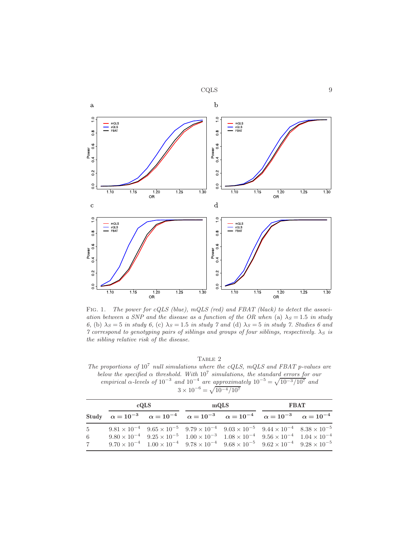

<span id="page-8-0"></span>FIG. 1. The power for cQLS (blue), mQLS (red) and FBAT (black) to detect the association between a SNP and the disease as a function of the OR when (a)  $\lambda_s = 1.5$  in study 6, (b)  $\lambda_S = 5$  in study 6, (c)  $\lambda_S = 1.5$  in study 7 and (d)  $\lambda_S = 5$  in study 7. Studies 6 and 7 correspond to genotyping pairs of siblings and groups of four siblings, respectively.  $\lambda_S$  is the sibling relative risk of the disease.

TABLE 2

<span id="page-8-1"></span>The proportions of  $10^7$  null simulations where the cQLS, mQLS and FBAT p-values are below the specified  $\alpha$  threshold. With  $10^7$  simulations, the standard errors for our empirical  $\alpha$ -levels of  $10^{-3}$  and  $10^{-4}$  are approximately  $10^{-5} = \sqrt{10^{-3}/10^7}$  and  $3 \times 10^{-6} = \sqrt{10^{-4}/10^7}$ 

|                                     | cQLS |                                                                                                                                                                                                                                                                                                                                                                                                                   | mQLS |  | <b>FBAT</b> |  |
|-------------------------------------|------|-------------------------------------------------------------------------------------------------------------------------------------------------------------------------------------------------------------------------------------------------------------------------------------------------------------------------------------------------------------------------------------------------------------------|------|--|-------------|--|
|                                     |      | Study $\alpha = 10^{-3}$ $\alpha = 10^{-4}$ $\alpha = 10^{-3}$ $\alpha = 10^{-4}$ $\alpha = 10^{-3}$ $\alpha = 10^{-4}$                                                                                                                                                                                                                                                                                           |      |  |             |  |
| $5^{\circ}$<br>-6<br>$\overline{7}$ |      | $9.81 \times 10^{-4}$ $9.65 \times 10^{-5}$ $9.79 \times 10^{-4}$ $9.03 \times 10^{-5}$ $9.44 \times 10^{-4}$ $8.38 \times 10^{-5}$<br>$9.80 \times 10^{-4}$ $9.25 \times 10^{-5}$ $1.00 \times 10^{-3}$ $1.08 \times 10^{-4}$ $9.56 \times 10^{-4}$ $1.04 \times 10^{-4}$<br>$9.70 \times 10^{-4}$ $1.00 \times 10^{-4}$ $9.78 \times 10^{-4}$ $9.68 \times 10^{-5}$ $9.62 \times 10^{-4}$ $9.28 \times 10^{-5}$ |      |  |             |  |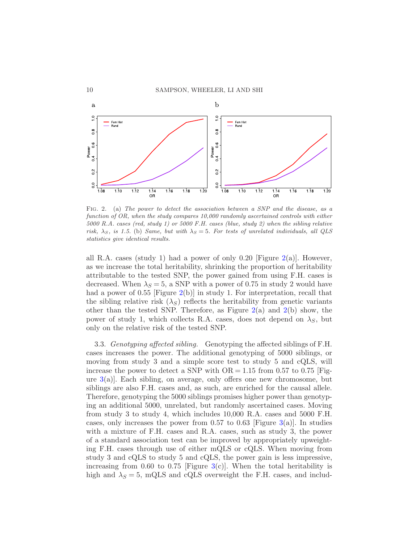

<span id="page-9-0"></span>Fig. 2. (a) The power to detect the association between a SNP and the disease, as a function of OR, when the study compares 10,000 randomly ascertained controls with either 5000 R.A. cases (red, study 1) or 5000 F.H. cases (blue, study 2) when the sibling relative risk,  $\lambda_S$ , is 1.5. (b) Same, but with  $\lambda_S = 5$ . For tests of unrelated individuals, all QLS statistics give identical results.

all R.A. cases (study 1) had a power of only 0.20 [Figure [2\(](#page-9-0)a)]. However, as we increase the total heritability, shrinking the proportion of heritability attributable to the tested SNP, the power gained from using F.H. cases is decreased. When  $\lambda_S = 5$ , a SNP with a power of 0.75 in study 2 would have had a power of 0.55 [Figure [2\(](#page-9-0)b)] in study 1. For interpretation, recall that the sibling relative risk  $(\lambda_S)$  reflects the heritability from genetic variants other than the tested SNP. Therefore, as Figure  $2(a)$  $2(a)$  and  $2(b)$  show, the power of study 1, which collects R.A. cases, does not depend on  $\lambda_S$ , but only on the relative risk of the tested SNP.

3.3. Genotyping affected sibling. Genotyping the affected siblings of F.H. cases increases the power. The additional genotyping of 5000 siblings, or moving from study 3 and a simple score test to study 5 and cQLS, will increase the power to detect a SNP with  $OR = 1.15$  from 0.57 to 0.75 [Figure [3\(](#page-10-0)a)]. Each sibling, on average, only offers one new chromosome, but siblings are also F.H. cases and, as such, are enriched for the causal allele. Therefore, genotyping the 5000 siblings promises higher power than genotyping an additional 5000, unrelated, but randomly ascertained cases. Moving from study 3 to study 4, which includes 10,000 R.A. cases and 5000 F.H. cases, only increases the power from 0.57 to 0.63 [Figure [3\(](#page-10-0)a)]. In studies with a mixture of F.H. cases and R.A. cases, such as study 3, the power of a standard association test can be improved by appropriately upweighting F.H. cases through use of either mQLS or cQLS. When moving from study 3 and cQLS to study 5 and cQLS, the power gain is less impressive, increasing from 0.60 to 0.75 [Figure [3\(](#page-10-0)c)]. When the total heritability is high and  $\lambda_S = 5$ , mQLS and cQLS overweight the F.H. cases, and includ-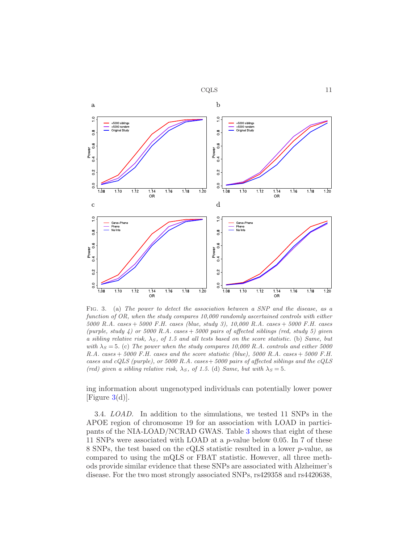



<span id="page-10-0"></span>FIG. 3. (a) The power to detect the association between a SNP and the disease, as a function of OR, when the study compares 10,000 randomly ascertained controls with either 5000 R.A. cases + 5000 F.H. cases (blue, study 3), 10,000 R.A. cases + 5000 F.H. cases (purple, study 4) or 5000 R.A. cases  $+$  5000 pairs of affected siblings (red, study 5) given a sibling relative risk,  $\lambda_S$ , of 1.5 and all tests based on the score statistic. (b) Same, but with  $\lambda_S = 5$ . (c) The power when the study compares 10,000 R.A. controls and either 5000 R.A. cases  $+ 5000$  F.H. cases and the score statistic (blue), 5000 R.A. cases  $+ 5000$  F.H. cases and cQLS (purple), or 5000 R.A. cases  $+5000$  pairs of affected siblings and the cQLS (red) given a sibling relative risk,  $\lambda_S$ , of 1.5. (d) Same, but with  $\lambda_S = 5$ .

ing information about ungenotyped individuals can potentially lower power [Figure  $3(d)$  $3(d)$ ].

3.4. LOAD. In addition to the simulations, we tested 11 SNPs in the APOE region of chromosome 19 for an association with LOAD in participants of the NIA-LOAD/NCRAD GWAS. Table [3](#page-11-1) shows that eight of these 11 SNPs were associated with LOAD at a p-value below 0.05. In 7 of these 8 SNPs, the test based on the cQLS statistic resulted in a lower p-value, as compared to using the mQLS or FBAT statistic. However, all three methods provide similar evidence that these SNPs are associated with Alzheimer's disease. For the two most strongly associated SNPs, rs429358 and rs4420638,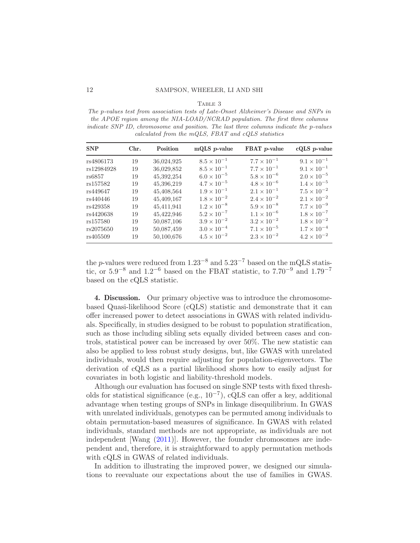#### Table 3

<span id="page-11-1"></span>The p-values test from association tests of Late-Onset Alzheimer's Disease and SNPs in the APOE region among the NIA-LOAD/NCRAD population. The first three columns indicate SNP ID, chromosome and position. The last three columns indicate the p-values calculated from the mQLS, FBAT and cQLS statistics

| <b>SNP</b> | Chr. | <b>Position</b> | mQLS $p$ -value      | FBAT p-value         | $cQLS$ <i>p</i> -value |
|------------|------|-----------------|----------------------|----------------------|------------------------|
| rs4806173  | 19   | 36,024,925      | $8.5 \times 10^{-1}$ | $7.7 \times 10^{-1}$ | $9.1 \times 10^{-1}$   |
| rs12984928 | 19   | 36,029,852      | $8.5 \times 10^{-1}$ | $7.7 \times 10^{-1}$ | $9.1 \times 10^{-1}$   |
| rs6857     | 19   | 45,392,254      | $6.0 \times 10^{-5}$ | $5.8 \times 10^{-6}$ | $2.0 \times 10^{-5}$   |
| rs157582   | 19   | 45,396,219      | $4.7 \times 10^{-5}$ | $4.8 \times 10^{-6}$ | $1.4 \times 10^{-5}$   |
| rs449647   | 19   | 45,408,564      | $1.9 \times 10^{-1}$ | $2.1 \times 10^{-1}$ | $7.5 \times 10^{-2}$   |
| rs440446   | 19   | 45,409,167      | $1.8 \times 10^{-2}$ | $2.4 \times 10^{-2}$ | $2.1 \times 10^{-2}$   |
| rs429358   | 19   | 45,411,941      | $1.2 \times 10^{-8}$ | $5.9 \times 10^{-8}$ | $7.7 \times 10^{-9}$   |
| rs4420638  | 19   | 45,422,946      | $5.2 \times 10^{-7}$ | $1.1 \times 10^{-6}$ | $1.8 \times 10^{-7}$   |
| rs157580   | 19   | 50,087,106      | $3.9 \times 10^{-2}$ | $3.2 \times 10^{-2}$ | $1.8 \times 10^{-2}$   |
| rs2075650  | 19   | 50,087,459      | $3.0 \times 10^{-4}$ | $7.1 \times 10^{-5}$ | $1.7 \times 10^{-4}$   |
| rs405509   | 19   | 50,100,676      | $4.5 \times 10^{-2}$ | $2.3 \times 10^{-2}$ | $4.2 \times 10^{-2}$   |

the p-values were reduced from  $1.23^{-8}$  and  $5.23^{-7}$  based on the mQLS statistic, or  $5.9^{-8}$  and  $1.2^{-6}$  based on the FBAT statistic, to  $7.70^{-9}$  and  $1.79^{-7}$ based on the cQLS statistic.

<span id="page-11-0"></span>4. Discussion. Our primary objective was to introduce the chromosomebased Quasi-likelihood Score (cQLS) statistic and demonstrate that it can offer increased power to detect associations in GWAS with related individuals. Specifically, in studies designed to be robust to population stratification, such as those including sibling sets equally divided between cases and controls, statistical power can be increased by over 50%. The new statistic can also be applied to less robust study designs, but, like GWAS with unrelated individuals, would then require adjusting for population-eigenvectors. The derivation of cQLS as a partial likelihood shows how to easily adjust for covariates in both logistic and liability-threshold models.

Although our evaluation has focused on single SNP tests with fixed thresholds for statistical significance (e.g.,  $10^{-7}$ ), cQLS can offer a key, additional advantage when testing groups of SNPs in linkage disequilibrium. In GWAS with unrelated individuals, genotypes can be permuted among individuals to obtain permutation-based measures of significance. In GWAS with related individuals, standard methods are not appropriate, as individuals are not independent [Wang [\(2011\)](#page-24-11)]. However, the founder chromosomes are independent and, therefore, it is straightforward to apply permutation methods with cQLS in GWAS of related individuals.

In addition to illustrating the improved power, we designed our simulations to reevaluate our expectations about the use of families in GWAS.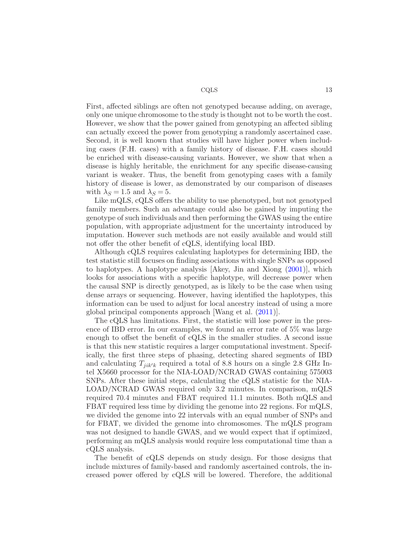First, affected siblings are often not genotyped because adding, on average, only one unique chromosome to the study is thought not to be worth the cost. However, we show that the power gained from genotyping an affected sibling can actually exceed the power from genotyping a randomly ascertained case. Second, it is well known that studies will have higher power when including cases (F.H. cases) with a family history of disease. F.H. cases should be enriched with disease-causing variants. However, we show that when a disease is highly heritable, the enrichment for any specific disease-causing variant is weaker. Thus, the benefit from genotyping cases with a family history of disease is lower, as demonstrated by our comparison of diseases with  $\lambda_S = 1.5$  and  $\lambda_S = 5$ .

Like mQLS, cQLS offers the ability to use phenotyped, but not genotyped family members. Such an advantage could also be gained by imputing the genotype of such individuals and then performing the GWAS using the entire population, with appropriate adjustment for the uncertainty introduced by imputation. However such methods are not easily available and would still not offer the other benefit of cQLS, identifying local IBD.

Although cQLS requires calculating haplotypes for determining IBD, the test statistic still focuses on finding associations with single SNPs as opposed to haplotypes. A haplotype analysis  $[Akey, Jin \text{ and Xiong } (2001)],$  $[Akey, Jin \text{ and Xiong } (2001)],$  $[Akey, Jin \text{ and Xiong } (2001)],$  which looks for associations with a specific haplotype, will decrease power when the causal SNP is directly genotyped, as is likely to be the case when using dense arrays or sequencing. However, having identified the haplotypes, this information can be used to adjust for local ancestry instead of using a more global principal components approach [Wang et al. [\(2011](#page-24-15))].

The cQLS has limitations. First, the statistic will lose power in the presence of IBD error. In our examples, we found an error rate of 5% was large enough to offset the benefit of cQLS in the smaller studies. A second issue is that this new statistic requires a larger computational investment. Specifically, the first three steps of phasing, detecting shared segments of IBD and calculating  $T_{jik'k}$  required a total of 8.8 hours on a single 2.8 GHz Intel X5660 processor for the NIA-LOAD/NCRAD GWAS containing 575003 SNPs. After these initial steps, calculating the cQLS statistic for the NIA-LOAD/NCRAD GWAS required only 3.2 minutes. In comparison, mQLS required 70.4 minutes and FBAT required 11.1 minutes. Both mQLS and FBAT required less time by dividing the genome into 22 regions. For mQLS, we divided the genome into 22 intervals with an equal number of SNPs and for FBAT, we divided the genome into chromosomes. The mQLS program was not designed to handle GWAS, and we would expect that if optimized, performing an mQLS analysis would require less computational time than a cQLS analysis.

The benefit of cQLS depends on study design. For those designs that include mixtures of family-based and randomly ascertained controls, the increased power offered by cQLS will be lowered. Therefore, the additional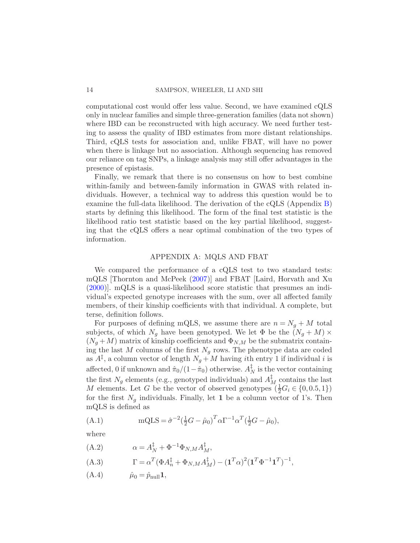computational cost would offer less value. Second, we have examined cQLS only in nuclear families and simple three-generation families (data not shown) where IBD can be reconstructed with high accuracy. We need further testing to assess the quality of IBD estimates from more distant relationships. Third, cQLS tests for association and, unlike FBAT, will have no power when there is linkage but no association. Although sequencing has removed our reliance on tag SNPs, a linkage analysis may still offer advantages in the presence of epistasis.

Finally, we remark that there is no consensus on how to best combine within-family and between-family information in GWAS with related individuals. However, a technical way to address this question would be to examine the full-data likelihood. The derivation of the cQLS (Appendix [B\)](#page-14-0) starts by defining this likelihood. The form of the final test statistic is the likelihood ratio test statistic based on the key partial likelihood, suggesting that the cQLS offers a near optimal combination of the two types of information.

# APPENDIX A: MQLS AND FBAT

<span id="page-13-0"></span>We compared the performance of a cQLS test to two standard tests: mQLS [Thornton and McPeek [\(2007](#page-24-7))] and FBAT [Laird, Horvath and Xu [\(2000\)](#page-24-5)]. mQLS is a quasi-likelihood score statistic that presumes an individual's expected genotype increases with the sum, over all affected family members, of their kinship coefficients with that individual. A complete, but terse, definition follows.

For purposes of defining mQLS, we assume there are  $n = N<sub>g</sub> + M$  total subjects, of which  $N_g$  have been genotyped. We let  $\Phi$  be the  $(N_g + M) \times$  $(N_g + M)$  matrix of kinship coefficients and  $\Phi_{N,M}$  be the submatrix containing the last M columns of the first  $N_g$  rows. The phenotype data are coded as  $A^{\ddagger}$ , a column vector of length  $N_g + M$  having *i*th entry 1 if individual *i* is affected, 0 if unknown and  $\hat{\pi}_0/(1-\hat{\pi}_0)$  otherwise.  $A_I^{\ddagger}$  $_N^{\dagger}$  is the vector containing the first  $N_g$  elements (e.g., genotyped individuals) and  $A_M^{\dagger}$  contains the last M elements. Let G be the vector of observed genotypes  $(\frac{1}{2}G_i \in \{0, 0.5, 1\})$ for the first  $N_q$  individuals. Finally, let 1 be a column vector of 1's. Then mQLS is defined as

(A.1) 
$$
mQLS = \hat{\sigma}^{-2}(\frac{1}{2}G - \hat{\mu}_0)^T \alpha \Gamma^{-1} \alpha^T(\frac{1}{2}G - \hat{\mu}_0),
$$

where

(A.2) 
$$
\alpha = A_N^{\ddagger} + \Phi^{-1} \Phi_{N,M} A_M^{\ddagger},
$$

(A.3) 
$$
\Gamma = \alpha^T (\Phi A_n^{\ddagger} + \Phi_{N,M} A_M^{\ddagger}) - (\mathbf{1}^T \alpha)^2 (\mathbf{1}^T \Phi^{-1} \mathbf{1}^T)^{-1},
$$

(A.4)  $\hat{\mu}_0 = \hat{p}_{\text{null}} \mathbf{1},$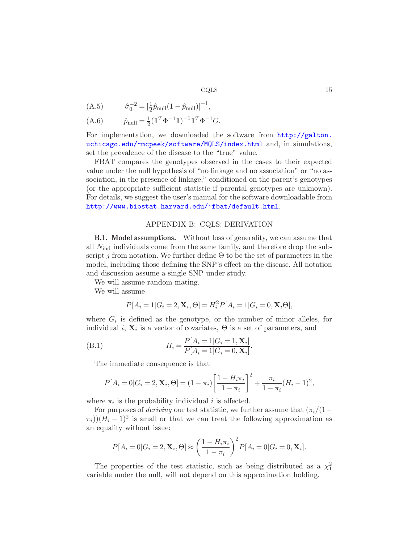(A.5)  $\hat{\sigma}_0^{-2} = \left[\frac{1}{2}\hat{p}_{\text{null}}(1-\hat{p}_{\text{null}})\right]^{-1},$ 

(A.6) 
$$
\hat{p}_{\text{null}} = \frac{1}{2} (\mathbf{1}^T \Phi^{-1} \mathbf{1})^{-1} \mathbf{1}^T \Phi^{-1} G.
$$

For implementation, we downloaded the software from [http://galton.](http://galton.uchicago.edu/~mcpeek/software/MQLS/index.html) [uchicago.edu/~mcpeek/software/MQLS/index.html](http://galton.uchicago.edu/~mcpeek/software/MQLS/index.html) and, in simulations, set the prevalence of the disease to the "true" value.

FBAT compares the genotypes observed in the cases to their expected value under the null hypothesis of "no linkage and no association" or "no association, in the presence of linkage," conditioned on the parent's genotypes (or the appropriate sufficient statistic if parental genotypes are unknown). For details, we suggest the user's manual for the software downloadable from <http://www.biostat.harvard.edu/~fbat/default.html>.

### APPENDIX B: CQLS: DERIVATION

<span id="page-14-1"></span><span id="page-14-0"></span>B.1. Model assumptions. Without loss of generality, we can assume that all  $N_{\text{ind}}$  individuals come from the same family, and therefore drop the subscript j from notation. We further define  $\Theta$  to be the set of parameters in the model, including those defining the SNP's effect on the disease. All notation and discussion assume a single SNP under study.

We will assume random mating.

We will assume

$$
P[A_i = 1 | G_i = 2, \mathbf{X}_i, \Theta] = H_i^2 P[A_i = 1 | G_i = 0, \mathbf{X}_i \Theta],
$$

where  $G_i$  is defined as the genotype, or the number of minor alleles, for individual *i*,  $\mathbf{X}_i$  is a vector of covariates,  $\Theta$  is a set of parameters, and

(B.1) 
$$
H_i = \frac{P[A_i = 1|G_i = 1, \mathbf{X}_i]}{P[A_i = 1|G_i = 0, \mathbf{X}_i]}.
$$

The immediate consequence is that

$$
P[A_i = 0|G_i = 2, \mathbf{X}_i, \Theta] = (1 - \pi_i) \left[ \frac{1 - H_i \pi_i}{1 - \pi_i} \right]^2 + \frac{\pi_i}{1 - \pi_i} (H_i - 1)^2,
$$

where  $\pi_i$  is the probability individual *i* is affected.

For purposes of *deriving* our test statistic, we further assume that  $(\pi_i/(1-\epsilon))$  $(\pi_i)(H_i - 1)^2$  is small or that we can treat the following approximation as an equality without issue:

$$
P[A_i = 0 | G_i = 2, \mathbf{X}_i, \Theta] \approx \left(\frac{1 - H_i \pi_i}{1 - \pi_i}\right)^2 P[A_i = 0 | G_i = 0, \mathbf{X}_i].
$$

The properties of the test statistic, such as being distributed as a  $\chi_1^2$ variable under the null, will not depend on this approximation holding.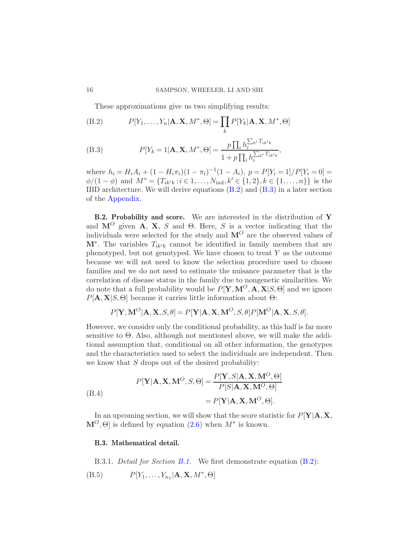<span id="page-15-0"></span>These approximations give us two simplifying results:

(B.2) 
$$
P[Y_1, \ldots, Y_n | \mathbf{A}, \mathbf{X}, M^*, \Theta] = \prod_k P[Y_k | \mathbf{A}, \mathbf{X}, M^*, \Theta]
$$

(B.3) 
$$
P[Y_k = 1 | \mathbf{A}, \mathbf{X}, M^*, \Theta] = \frac{p \prod_i h_i^{\sum_{k'} T_{ik'k}}}{1 + p \prod_i h_i^{\sum_{k'} T_{ik'k}}},
$$

where  $h_i = H_i A_i + (1 - H_i \pi_i)(1 - \pi_i)^{-1}(1 - A_i), p = P[Y_i = 1]/P[Y_i = 0] =$  $\phi/(1-\phi)$  and  $M^* = \{T_{ik'k} : i \in 1, ..., N_{\text{ind}}, k' \in \{1,2\}, k \in \{1, ..., n\}\}\$ is the IBD architecture. We will derive equations [\(B.2\)](#page-15-0) and [\(B.3\)](#page-15-0) in a later section of the [Appendix.](#page-11-0)

B.2. Probability and score. We are interested in the distribution of Y and  $M^O$  given A, X, S and Θ. Here, S is a vector indicating that the individuals were selected for the study and  $\mathbf{M}^O$  are the observed values of  $\mathbf{M}^*$ . The variables  $T_{ik'k}$  cannot be identified in family members that are phenotyped, but not genotyped. We have chosen to treat  $Y$  as the outcome because we will not need to know the selection procedure used to choose families and we do not need to estimate the nuisance parameter that is the correlation of disease status in the family due to nongenetic similarities. We do note that a full probability would be  $P[Y, M^O, A, X|S, \Theta]$  and we ignore  $P[\mathbf{A}, \mathbf{X}|S, \Theta]$  because it carries little information about  $\Theta$ :

$$
P[\mathbf{Y}, \mathbf{M}^O | \mathbf{A}, \mathbf{X}, S, \theta] = P[\mathbf{Y} | \mathbf{A}, \mathbf{X}, \mathbf{M}^O, S, \theta] P[\mathbf{M}^O | \mathbf{A}, \mathbf{X}, S, \theta].
$$

However, we consider only the conditional probability, as this half is far more sensitive to Θ. Also, although not mentioned above, we will make the additional assumption that, conditional on all other information, the genotypes and the characteristics used to select the individuals are independent. Then we know that  $S$  drops out of the desired probability:

(B.4)  
\n
$$
P[\mathbf{Y}|\mathbf{A}, \mathbf{X}, \mathbf{M}^O, S, \Theta] = \frac{P[\mathbf{Y}, S|\mathbf{A}, \mathbf{X}, \mathbf{M}^O, \Theta]}{P[S|\mathbf{A}, \mathbf{X}, \mathbf{M}^O, \Theta]}
$$
\n
$$
= P[\mathbf{Y}|\mathbf{A}, \mathbf{X}, \mathbf{M}^O, \Theta].
$$

In an upcoming section, we will show that the score statistic for  $P[Y|A, X, Y]$  $\mathbf{M}^O$ ,  $\Theta$  is defined by equation [\(2.6\)](#page-3-0) when  $M^*$  is known.

### B.3. Mathematical detail.

B.3.1. *Detail for Section B.1*. We first demonstrate equation [\(B.2\)](#page-15-0):

$$
(B.5) \t P[Y_1, \ldots, Y_{n_1} | \mathbf{A}, \mathbf{X}, M^*, \Theta]
$$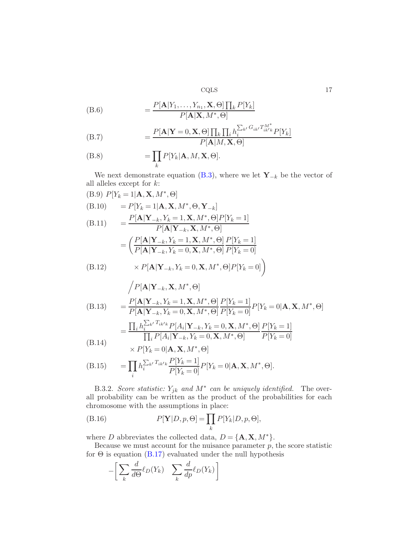(B.6) 
$$
= \frac{P[\mathbf{A}|Y_1,\ldots,Y_{n_1},\mathbf{X},\Theta]\prod_k P[Y_k]}{P[\mathbf{A}|\mathbf{X},M^*,\Theta]}
$$

(B.7) 
$$
= \frac{P[\mathbf{A}|\mathbf{Y}=0,\mathbf{X},\Theta]\prod_{k}\prod_{i}h_{i}^{\sum_{k'}G_{ik'}T_{ik'k}^{M^{*}}}P[Y_{k}]}{P[\mathbf{A}|M,\mathbf{X},\Theta]}
$$

(B.8) 
$$
= \prod_{k} P[Y_{k}|\mathbf{A}, M, \mathbf{X}, \Theta].
$$

We next demonstrate equation [\(B.3\)](#page-15-0), where we let  $\mathbf{Y}_{-k}$  be the vector of all alleles except for  $k$ :

(B.9) 
$$
P[Y_k = 1 | \mathbf{A}, \mathbf{X}, M^*, \Theta]
$$
  
\n(B.10)  $= P[Y_k = 1 | \mathbf{A}, \mathbf{X}, M^*, \Theta, \mathbf{Y}_{-k}]$   
\n(B.11)  $= \frac{P[\mathbf{A} | \mathbf{Y}_{-k}, Y_k = 1, \mathbf{X}, M^*, \Theta] P[Y_k = 1]}{P[\mathbf{A} | \mathbf{Y}_{-k}, \mathbf{X}, M^*, \Theta]}$   
\n $= \left(\frac{P[\mathbf{A} | \mathbf{Y}_{-k}, Y_k = 1, \mathbf{X}, M^*, \Theta] P[Y_k = 1]}{P[\mathbf{A} | \mathbf{Y}_{-k}, Y_k = 0, \mathbf{X}, M^*, \Theta] P[Y_k = 0]}\right)$   
\n(B.12)  $\times P[\mathbf{A} | \mathbf{Y}_{-k}, Y_k = 0, \mathbf{X}, M^*, \Theta] P[Y_k = 0]$   
\n $\left/P[\mathbf{A} | \mathbf{Y}_{-k}, \mathbf{X}, M^*, \Theta]\right]$   
\n(B.13)  $= \frac{P[\mathbf{A} | \mathbf{Y}_{-k}, Y_k = 1, \mathbf{X}, M^*, \Theta] P[Y_k = 1]}{P[\mathbf{A} | \mathbf{Y}_{-k}, Y_k = 0, \mathbf{X}, M^*, \Theta] P[Y_k = 0] P[Y_k = 0 | \mathbf{A}, \mathbf{X}, M^*, \Theta]$   
\n $= \prod_i h_i^{\sum_{k'} T_{ik'k}} P[A_i | \mathbf{Y}_{-k}, Y_k = 0, \mathbf{X}, M^*, \Theta] P[Y_k = 1]$ 

$$
= \frac{\prod_{i} N_i}{\prod_i P[A_i | \mathbf{Y}_{-k}, Y_k = 0, \mathbf{X}, M^*, \Theta]} \frac{\prod_{i} N_i}{P[Y_k = 0]}
$$
\n(B.14)

(B.15) 
$$
\times P[Y_k = 0 | \mathbf{A}, \mathbf{X}, M^*, \Theta]
$$

$$
= \prod_i h_i^{\sum_{k'} T_{ik'k}} \frac{P[Y_k = 1]}{P[Y_k = 0]} P[Y_k = 0 | \mathbf{A}, \mathbf{X}, M^*, \Theta].
$$

B.3.2. Score statistic:  $Y_{jk}$  and  $M^*$  can be uniquely identified. The overall probability can be written as the product of the probabilities for each chromosome with the assumptions in place:

(B.16) 
$$
P[\mathbf{Y}|D, p, \Theta] = \prod_{k} P[Y_k|D, p, \Theta],
$$

where D abbreviates the collected data,  $D = \{A, X, M^*\}.$ 

Because we must account for the nuisance parameter  $p$ , the score statistic for  $\Theta$  is equation  $(B.17)$  evaluated under the null hypothesis

<span id="page-16-0"></span>
$$
-\bigg[\sum_{k} \frac{d}{d\Theta} \ell_D(Y_k) \quad \sum_{k} \frac{d}{dp} \ell_D(Y_k)\bigg]
$$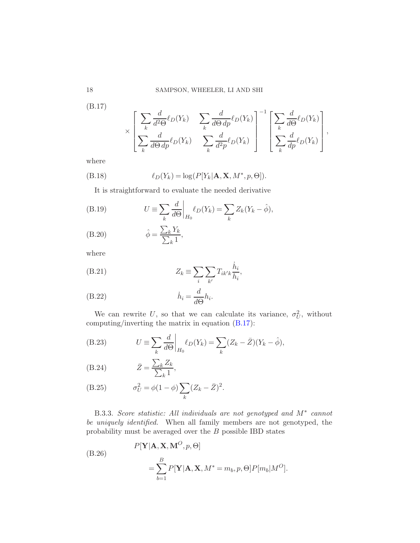(B.17)

$$
\times \left[ \frac{\sum_{k} \frac{d}{d^2 \Theta} \ell_D(Y_k)}{\sum_{k} \frac{d}{d \Theta d p} \ell_D(Y_k)} - \sum_{k} \frac{d}{d \Theta d p} \ell_D(Y_k) \right]^{-1} \left[ \frac{\sum_{k} \frac{d}{d \Theta} \ell_D(Y_k)}{\sum_{k} \frac{d}{d p} \ell_D(Y_k)} \right],
$$

where

(B.18) 
$$
\ell_D(Y_k) = \log(P[Y_k|\mathbf{A}, \mathbf{X}, M^*, p, \Theta]).
$$

<span id="page-17-0"></span>It is straightforward to evaluate the needed derivative

(B.19) 
$$
U \equiv \sum_{k} \frac{d}{d\Theta} \bigg|_{H_0} \ell_D(Y_k) = \sum_{k} Z_k(Y_k - \hat{\phi}),
$$
  
(B.30) 
$$
\hat{\lambda} = \sum_{k} Y_k
$$

(B.20) 
$$
\hat{\phi} = \frac{\sum_{k} Y_k}{\sum_{k} 1},
$$

where

(B.21) 
$$
Z_k \equiv \sum_i \sum_{k'} T_{ik'k} \frac{h_i}{h_i},
$$

(B.22) 
$$
\dot{h}_i = \frac{d}{d\Theta} h_i.
$$

We can rewrite U, so that we can calculate its variance,  $\sigma_U^2$ , without computing/inverting the matrix in equation [\(B.17\)](#page-16-0):

 $\ddot{\phantom{a}}$ 

<span id="page-17-1"></span>(B.23) 
$$
U \equiv \sum_{k} \frac{d}{d\Theta} \bigg|_{H_0} \ell_D(Y_k) = \sum_{k} (Z_k - \bar{Z})(Y_k - \hat{\phi}),
$$

(B.24) 
$$
\bar{Z} = \frac{\sum_{k} Z_k}{\sum_{k} 1},
$$

(B.25) 
$$
\sigma_U^2 = \phi(1-\phi) \sum_k (Z_k - \bar{Z})^2.
$$

B.3.3. Score statistic: All individuals are not genotyped and  $M^*$  cannot be uniquely identified. When all family members are not genotyped, the probability must be averaged over the B possible IBD states

(B.26)  
\n
$$
P[\mathbf{Y}|\mathbf{A}, \mathbf{X}, \mathbf{M}^O, p, \Theta]
$$
\n
$$
= \sum_{b=1}^B P[\mathbf{Y}|\mathbf{A}, \mathbf{X}, M^* = m_b, p, \Theta] P[m_b|M^O].
$$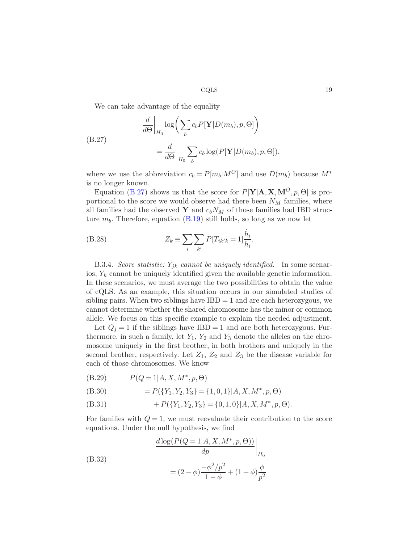<span id="page-18-0"></span>We can take advantage of the equality

(B.27)  
\n
$$
\frac{d}{d\Theta}\Big|_{H_0} \log \left( \sum_b c_b P[\mathbf{Y}|D(m_b), p, \Theta] \right)
$$
\n
$$
= \frac{d}{d\Theta}\Big|_{H_0} \sum_b c_b \log (P[\mathbf{Y}|D(m_b), p, \Theta]),
$$

where we use the abbreviation  $c_b = P[m_b|M^O]$  and use  $D(m_b)$  because  $M^*$ is no longer known.

Equation [\(B.27\)](#page-18-0) shows us that the score for  $P[Y|A, X, M^O, p, \Theta]$  is proportional to the score we would observe had there been  $N_M$  families, where all families had the observed Y and  $c_bN_M$  of those families had IBD structure  $m_b$ . Therefore, equation  $(B.19)$  still holds, so long as we now let

(B.28) 
$$
Z_k = \sum_{i} \sum_{k'} P[T_{ik'k} = 1] \frac{\dot{h}_i}{h_i}.
$$

B.3.4. Score statistic:  $Y_{jk}$  cannot be uniquely identified. In some scenarios,  $Y_k$  cannot be uniquely identified given the available genetic information. In these scenarios, we must average the two possibilities to obtain the value of cQLS. As an example, this situation occurs in our simulated studies of sibling pairs. When two siblings have  $IBD = 1$  and are each heterozygous, we cannot determine whether the shared chromosome has the minor or common allele. We focus on this specific example to explain the needed adjustment.

Let  $Q_i = 1$  if the siblings have IBD = 1 and are both heterozygous. Furthermore, in such a family, let  $Y_1, Y_2$  and  $Y_3$  denote the alleles on the chromosome uniquely in the first brother, in both brothers and uniquely in the second brother, respectively. Let  $Z_1$ ,  $Z_2$  and  $Z_3$  be the disease variable for each of those chromosomes. We know

(B.29) 
$$
P(Q = 1 | A, X, M^*, p, \Theta)
$$

(B.30) 
$$
= P({Y_1, Y_2, Y_3} = {1, 0, 1} | A, X, M^*, p, \Theta)
$$

(B.31) 
$$
+ P({Y_1, Y_2, Y_3} = {0, 1, 0} | A, X, M^*, p, \Theta).
$$

For families with  $Q = 1$ , we must reevaluate their contribution to the score equations. Under the null hypothesis, we find

(B.32)  
\n
$$
\frac{d \log(P(Q=1|A, X, M^*, p, \Theta))}{dp}\Big|_{H_0}
$$
\n
$$
= (2 - \phi) \frac{-\phi^2/p^2}{1 - \phi} + (1 + \phi) \frac{\phi}{p^2}
$$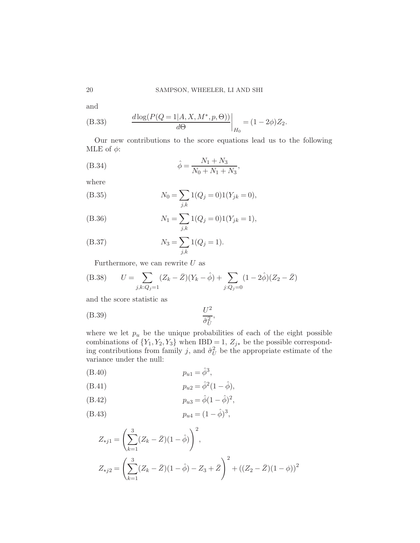and

(B.33) 
$$
\frac{d \log(P(Q=1|A, X, M^*, p, \Theta))}{d\Theta}\bigg|_{H_0} = (1 - 2\phi)Z_2.
$$

Our new contributions to the score equations lead us to the following MLE of  $\phi$ :

(B.34) 
$$
\hat{\phi} = \frac{N_1 + N_3}{N_0 + N_1 + N_3},
$$

where

(B.35) 
$$
N_0 = \sum_{j,k} 1(Q_j = 0)1(Y_{jk} = 0),
$$

(B.36) 
$$
N_1 = \sum_{j,k} 1(Q_j = 0)1(Y_{jk} = 1),
$$

(B.37) 
$$
N_3 = \sum_{j,k} 1(Q_j = 1).
$$

Furthermore, we can rewrite  $U$  as

(B.38) 
$$
U = \sum_{j,k:Q_j=1} (Z_k - \bar{Z})(Y_k - \hat{\phi}) + \sum_{j:Q_j=0} (1 - 2\hat{\phi})(Z_2 - \bar{Z})
$$

and the score statistic as

U 2 σˆ 2 U (B.39) ,

where we let  $p_u$  be the unique probabilities of each of the eight possible combinations of  ${Y_1, Y_2, Y_3}$  when IBD = 1,  $Z_{j*}$  be the possible corresponding contributions from family j, and  $\hat{\sigma}_U^2$  be the appropriate estimate of the variance under the null:

(B.40) 
$$
p_{u1} = \hat{\phi}^3
$$
,

(B.41) 
$$
p_{u2} = \hat{\phi}^2 (1 - \hat{\phi}),
$$

(B.42) 
$$
p_{u3} = \hat{\phi}(1 - \hat{\phi})^2,
$$

(B.43) 
$$
p_{u4} = (1 - \hat{\phi})^3,
$$

$$
Z_{*j1} = \left(\sum_{k=1}^{3} (Z_k - \bar{Z})(1 - \hat{\phi})\right)^2,
$$
  

$$
Z_{*j2} = \left(\sum_{k=1}^{3} (Z_k - \bar{Z})(1 - \hat{\phi}) - Z_3 + \bar{Z}\right)^2 + ((Z_2 - \bar{Z})(1 - \phi))^2
$$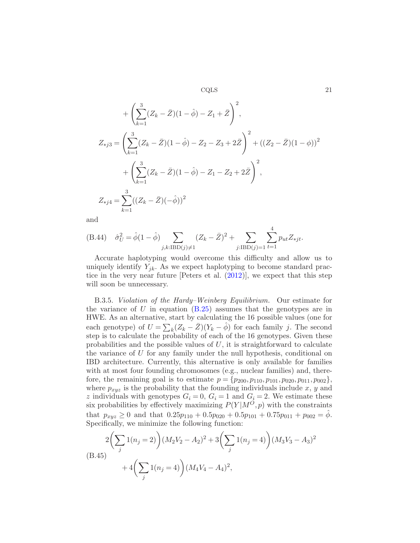$$
+\left(\sum_{k=1}^{3} (Z_k - \bar{Z})(1 - \hat{\phi}) - Z_1 + \bar{Z}\right)^2,
$$
  
\n
$$
Z_{*j3} = \left(\sum_{k=1}^{3} (Z_k - \bar{Z})(1 - \hat{\phi}) - Z_2 - Z_3 + 2\bar{Z}\right)^2 + ((Z_2 - \bar{Z})(1 - \phi))^2
$$
  
\n
$$
+\left(\sum_{k=1}^{3} (Z_k - \bar{Z})(1 - \hat{\phi}) - Z_1 - Z_2 + 2\bar{Z}\right)^2,
$$
  
\n
$$
Z_{*j4} = \sum_{k=1}^{3} ((Z_k - \bar{Z})(-\hat{\phi}))^2
$$

and

(B.44) 
$$
\hat{\sigma}_U^2 = \hat{\phi}(1 - \hat{\phi}) \sum_{j,k:\text{IBD}(j) \neq 1} (Z_k - \bar{Z})^2 + \sum_{j:\text{IBD}(j) = 1} \sum_{t=1}^4 p_{ut} Z_{*jt}.
$$

Accurate haplotyping would overcome this difficulty and allow us to uniquely identify  $Y_{jk}$ . As we expect haplotyping to become standard practice in the very near future [Peters et al. [\(2012](#page-24-10))], we expect that this step will soon be unnecessary.

B.3.5. Violation of the Hardy–Weinberg Equilibrium. Our estimate for the variance of U in equation  $(B.25)$  assumes that the genotypes are in HWE. As an alternative, start by calculating the 16 possible values (one for each genotype) of  $U = \sum_{k} (Z_k - \bar{Z})(Y_k - \hat{\phi})$  for each family j. The second step is to calculate the probability of each of the 16 genotypes. Given these probabilities and the possible values of  $U$ , it is straightforward to calculate the variance of  $U$  for any family under the null hypothesis, conditional on IBD architecture. Currently, this alternative is only available for families with at most four founding chromosomes (e.g., nuclear families) and, therefore, the remaining goal is to estimate  $p = \{p_{200}, p_{110}, p_{101}, p_{020}, p_{011}, p_{002}\},\$ where  $p_{xyz}$  is the probability that the founding individuals include x, y and z individuals with genotypes  $G_i = 0$ ,  $G_i = 1$  and  $G_i = 2$ . We estimate these six probabilities by effectively maximizing  $P(Y|M^{\tilde{O}},p)$  with the constraints that  $p_{xyz} \ge 0$  and that  $0.25p_{110} + 0.5p_{020} + 0.5p_{101} + 0.75p_{011} + p_{002} = \phi$ . Specifically, we minimize the following function:

$$
2\left(\sum_{j} 1(n_j = 2)\right)(M_2V_2 - A_2)^2 + 3\left(\sum_{j} 1(n_j = 4)\right)(M_3V_3 - A_3)^2 + 4\left(\sum_{j} 1(n_j = 4)\right)(M_4V_4 - A_4)^2,
$$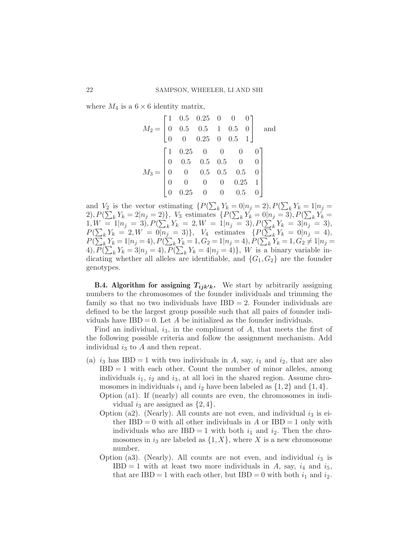where  $M_4$  is a  $6 \times 6$  identity matrix,

$$
M_2 = \begin{bmatrix} 1 & 0.5 & 0.25 & 0 & 0 & 0 \\ 0 & 0.5 & 0.5 & 1 & 0.5 & 0 \\ 0 & 0 & 0.25 & 0 & 0.5 & 1 \end{bmatrix}
$$
 and 
$$
M_3 = \begin{bmatrix} 1 & 0.25 & 0 & 0 & 0 & 0 \\ 0 & 0.5 & 0.5 & 0.5 & 0 & 0 \\ 0 & 0 & 0.5 & 0.5 & 0.5 & 0 \\ 0 & 0 & 0 & 0 & 0.25 & 1 \\ 0 & 0.25 & 0 & 0 & 0.5 & 0 \end{bmatrix}
$$

and  $V_2$  is the vector estimating  $\{P(\sum_k Y_k = 0 | n_j = 2), P(\sum_k Y_k = 1 | n_j = 1)\}$ and  $v_2$  is the vector estimating  $\{P(\sum_k I_k = 0 | n_j = 2), I(\sum_k I_k = 1 | n_j = 2), P(\sum_k Y_k = 2 | n_j = 2)\}, V_3$  estimates  $\{P(\sum_k Y_k = 0 | n_j = 3), P(\sum_k Y_k = 1 | n_j = 2)\}$  $1, W = 1 | n_j = 3, P(\sum_k Y_k = 2, W = 1 | n_j = 3), P(\sum_k Y_k = 3 | n_j = 3),$  $P(\sum_k Y_k = 2, W = 0 | n_j = 3) \}, V_4$  estimates  $\{P(\sum_k Y_k = 0 | n_j = 4)$ ,  $P(\sum_k Y_k = 1 | n_j = 4), P(\sum_k Y_k = 1, G_2 = 1 | n_j = 4), P(\sum_k Y_k = 1, G_2 \neq 1 | n_j = 4)$ 4),  $P(\sum_{k} Y_k = 3 | n_j = 4), P(\sum_{k} Y_k = 4 | n_j = 4) \}, W$  is a binary variable indicating whether all alleles are identifiable, and  $\{G_1, G_2\}$  are the founder genotypes.

<span id="page-21-0"></span>**B.4. Algorithm for assigning**  $T_{ijk'k}$ **.** We start by arbitrarily assigning numbers to the chromosomes of the founder individuals and trimming the family so that no two individuals have  $IBD = 2$ . Founder individuals are defined to be the largest group possible such that all pairs of founder individuals have  $IBD = 0$ . Let A be initialized as the founder individuals.

Find an individual,  $i_3$ , in the compliment of A, that meets the first of the following possible criteria and follow the assignment mechanism. Add individual  $i_3$  to A and then repeat.

- (a)  $i_3$  has IBD = 1 with two individuals in A, say,  $i_1$  and  $i_2$ , that are also  $IBD = 1$  with each other. Count the number of minor alleles, among individuals  $i_1$ ,  $i_2$  and  $i_3$ , at all loci in the shared region. Assume chromosomes in individuals  $i_1$  and  $i_2$  have been labeled as  $\{1,2\}$  and  $\{1,4\}$ .
	- Option (a1). If (nearly) all counts are even, the chromosomes in individual  $i_3$  are assigned as  $\{2,4\}.$
	- Option (a2). (Nearly). All counts are not even, and individual  $i_3$  is either  $IBD = 0$  with all other individuals in A or  $IBD = 1$  only with individuals who are IBD = 1 with both  $i_1$  and  $i_2$ . Then the chromosomes in  $i_3$  are labeled as  $\{1, X\}$ , where X is a new chromosome number.
	- Option (a3). (Nearly). All counts are not even, and individual  $i_3$  is  $IBD = 1$  with at least two more individuals in A, say,  $i_4$  and  $i_5$ , that are IBD = 1 with each other, but IBD = 0 with both  $i_1$  and  $i_2$ .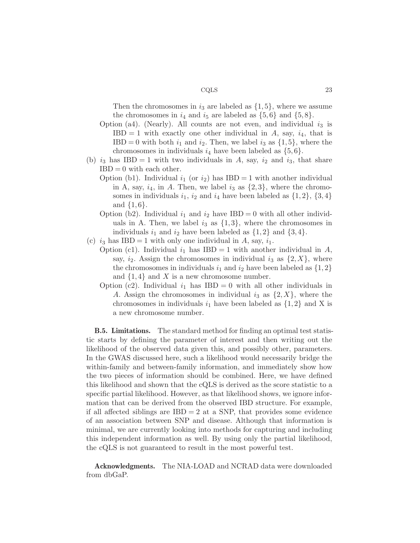Then the chromosomes in  $i_3$  are labeled as  $\{1, 5\}$ , where we assume the chromosomes in  $i_4$  and  $i_5$  are labeled as  $\{5,6\}$  and  $\{5,8\}.$ 

- Option (a4). (Nearly). All counts are not even, and individual  $i_3$  is  $IBD = 1$  with exactly one other individual in A, say,  $i_4$ , that is  $IBD = 0$  with both  $i_1$  and  $i_2$ . Then, we label  $i_3$  as  $\{1, 5\}$ , where the chromosomes in individuals  $i_4$  have been labeled as  $\{5,6\}.$
- (b)  $i_3$  has IBD = 1 with two individuals in A, say,  $i_2$  and  $i_3$ , that share  $IBD = 0$  with each other.
	- Option (b1). Individual  $i_1$  (or  $i_2$ ) has IBD = 1 with another individual in A, say,  $i_4$ , in A. Then, we label  $i_3$  as  $\{2,3\}$ , where the chromosomes in individuals  $i_1$ ,  $i_2$  and  $i_4$  have been labeled as  $\{1,2\}$ ,  $\{3,4\}$ and  $\{1,6\}.$
	- Option (b2). Individual  $i_1$  and  $i_2$  have IBD = 0 with all other individuals in A. Then, we label  $i_3$  as  $\{1,3\}$ , where the chromosomes in individuals  $i_1$  and  $i_2$  have been labeled as  $\{1,2\}$  and  $\{3,4\}$ .
- (c)  $i_3$  has IBD = 1 with only one individual in A, say,  $i_1$ .
	- Option (c1). Individual  $i_1$  has IBD = 1 with another individual in A, say,  $i_2$ . Assign the chromosomes in individual  $i_3$  as  $\{2, X\}$ , where the chromosomes in individuals  $i_1$  and  $i_2$  have been labeled as  $\{1,2\}$ and  $\{1,4\}$  and X is a new chromosome number.
		- Option (c2). Individual  $i_1$  has IBD = 0 with all other individuals in A. Assign the chromosomes in individual  $i_3$  as  $\{2, X\}$ , where the chromosomes in individuals  $i_1$  have been labeled as  $\{1,2\}$  and X is a new chromosome number.

B.5. Limitations. The standard method for finding an optimal test statistic starts by defining the parameter of interest and then writing out the likelihood of the observed data given this, and possibly other, parameters. In the GWAS discussed here, such a likelihood would necessarily bridge the within-family and between-family information, and immediately show how the two pieces of information should be combined. Here, we have defined this likelihood and shown that the cQLS is derived as the score statistic to a specific partial likelihood. However, as that likelihood shows, we ignore information that can be derived from the observed IBD structure. For example, if all affected siblings are  $IBD = 2$  at a SNP, that provides some evidence of an association between SNP and disease. Although that information is minimal, we are currently looking into methods for capturing and including this independent information as well. By using only the partial likelihood, the cQLS is not guaranteed to result in the most powerful test.

Acknowledgments. The NIA-LOAD and NCRAD data were downloaded from dbGaP.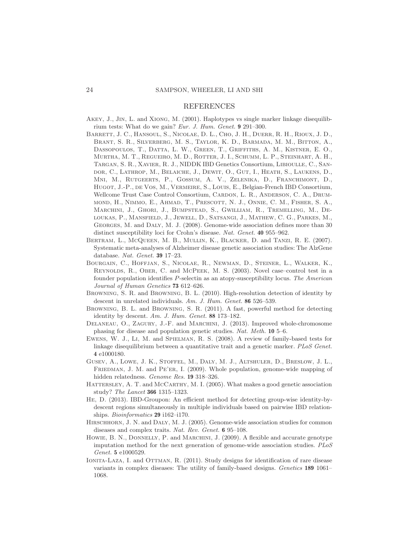### REFERENCES

- <span id="page-23-13"></span>Akey, J., Jin, L. and Xiong, M. (2001). Haplotypes vs single marker linkage disequilibrium tests: What do we gain? Eur. J. Hum. Genet. 9 291–300.
- <span id="page-23-0"></span>Barrett, J. C., Hansoul, S., Nicolae, D. L., Cho, J. H., Duerr, R. H., Rioux, J. D., Brant, S. R., Silverberg, M. S., Taylor, K. D., Barmada, M. M., Bitton, A., Dassopoulos, T., Datta, L. W., Green, T., Griffiths, A. M., Kistner, E. O., Murtha, M. T., Regueiro, M. D., Rotter, J. I., Schumm, L. P., Steinhart, A. H., Targan, S. R., Xavier, R. J., NIDDK IBD Genetics Consortium, Libioulle, C., Sandor, C., Lathrop, M., Belaiche, J., Dewit, O., Gut, I., Heath, S., Laukens, D., Mni, M., Rutgeerts, P., Gossum, A. V., Zelenika, D., Franchimont, D., Hugot, J.-P., de Vos, M., Vermeire, S., Louis, E., Belgian-French IBD Consortium, Wellcome Trust Case Control Consortium, CARDON, L. R., ANDERSON, C. A., DRUMmond, H., Nimmo, E., Ahmad, T., Prescott, N. J., Onnie, C. M., Fisher, S. A., Marchini, J., Ghori, J., Bumpstead, S., Gwilliam, R., Tremelling, M., Deloukas, P., Mansfield, J., Jewell, D., Satsangi, J., Mathew, C. G., Parkes, M., Georges, M. and Daly, M. J. (2008). Genome-wide association defines more than 30 distinct susceptibility loci for Crohn's disease. Nat. Genet. 40 955–962.
- <span id="page-23-10"></span>Bertram, L., McQueen, M. B., Mullin, K., Blacker, D. and Tanzi, R. E. (2007). Systematic meta-analyses of Alzheimer disease genetic association studies: The AlzGene database. Nat. Genet. 39 17–23.
- <span id="page-23-2"></span>Bourgain, C., Hoffjan, S., Nicolae, R., Newman, D., Steiner, L., Walker, K., Reynolds, R., Ober, C. and McPeek, M. S. (2003). Novel case–control test in a founder population identifies P-selectin as an atopy-susceptibility locus. The American Journal of Human Genetics 73 612-626.
- <span id="page-23-4"></span>Browning, S. R. and Browning, B. L. (2010). High-resolution detection of identity by descent in unrelated individuals. Am. J. Hum. Genet. 86 526-539.
- <span id="page-23-8"></span>Browning, B. L. and Browning, S. R. (2011). A fast, powerful method for detecting identity by descent. Am. J. Hum. Genet. 88 173–182.
- <span id="page-23-12"></span>DELANEAU, O., ZAGURY, J.-F. and MARCHINI, J. (2013). Improved whole-chromosome phasing for disease and population genetic studies. Nat. Meth. 10 5–6.
- <span id="page-23-1"></span>Ewens, W. J., Li, M. and Spielman, R. S. (2008). A review of family-based tests for linkage disequilibrium between a quantitative trait and a genetic marker. PLoS Genet. 4 e1000180.
- <span id="page-23-9"></span>Gusev, A., Lowe, J. K., Stoffel, M., Daly, M. J., Altshuler, D., Breslow, J. L., FRIEDMAN, J. M. and PE'ER, I. (2009). Whole population, genome-wide mapping of hidden relatedness. Genome Res. 19 318–326.
- <span id="page-23-7"></span>HATTERSLEY, A. T. and MCCARTHY, M. I. (2005). What makes a good genetic association study? The Lancet 366 1315–1323.
- <span id="page-23-5"></span>He, D. (2013). IBD-Groupon: An efficient method for detecting group-wise identity-bydescent regions simultaneously in multiple individuals based on pairwise IBD relationships. *Bioinformatics* **29** i162–i170.
- <span id="page-23-3"></span>HIRSCHHORN, J. N. and DALY, M. J. (2005). Genome-wide association studies for common diseases and complex traits. Nat. Rev. Genet. 6 95–108.
- <span id="page-23-11"></span>HOWIE, B. N., DONNELLY, P. and MARCHINI, J. (2009). A flexible and accurate genotype imputation method for the next generation of genome-wide association studies. PLoS Genet. 5 e1000529.
- <span id="page-23-6"></span>IONITA-LAZA, I. and OTTMAN, R. (2011). Study designs for identification of rare disease variants in complex diseases: The utility of family-based designs. Genetics 189 1061– 1068.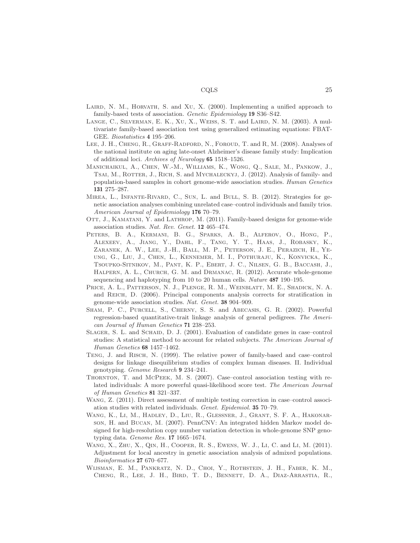- <span id="page-24-5"></span>LAIRD, N. M., HORVATH, S. and XU, X.  $(2000)$ . Implementing a unified approach to family-based tests of association. Genetic Epidemiology 19 S36–S42.
- <span id="page-24-4"></span>LANGE, C., SILVERMAN, E. K., XU, X., WEISS, S. T. and LAIRD, N. M. (2003). A multivariate family-based association test using generalized estimating equations: FBAT-GEE. Biostatistics 4 195–206.
- <span id="page-24-12"></span>LEE, J. H., CHENG, R., GRAFF-RADFORD, N., FOROUD, T. and R, M. (2008). Analyses of the national institute on aging late-onset Alzheimer's disease family study: Implication of additional loci. Archives of Neurology 65 1518–1526.
- <span id="page-24-2"></span>Manichaikul, A., Chen, W.-M., Williams, K., Wong, Q., Sale, M., Pankow, J., TSAI, M., ROTTER, J., RICH, S. and MYCHALECKYJ, J. (2012). Analysis of family- and population-based samples in cohort genome-wide association studies. Human Genetics 131 275–287.
- <span id="page-24-6"></span>Mirea, L., Infante-Rivard, C., Sun, L. and Bull, S. B. (2012). Strategies for genetic association analyses combining unrelated case–control individuals and family trios. American Journal of Epidemiology 176 70–79.
- <span id="page-24-1"></span>OTT, J., KAMATANI, Y. and LATHROP, M. (2011). Family-based designs for genome-wide association studies. Nat. Rev. Genet. 12 465–474.
- <span id="page-24-10"></span>Peters, B. A., Kermani, B. G., Sparks, A. B., Alferov, O., Hong, P., Alexeev, A., Jiang, Y., Dahl, F., Tang, Y. T., Haas, J., Robasky, K., Zaranek, A. W., Lee, J.-H., Ball, M. P., Peterson, J. E., Perazich, H., Yeung, G., Liu, J., Chen, L., Kennemer, M. I., Pothuraju, K., Konvicka, K., Tsoupko-Sitnikov, M., Pant, K. P., Ebert, J. C., Nilsen, G. B., Baccash, J., HALPERN, A. L., CHURCH, G. M. and DRMANAC, R. (2012). Accurate whole-genome sequencing and haplotyping from 10 to 20 human cells. Nature 487 190–195.
- <span id="page-24-9"></span>Price, A. L., Patterson, N. J., Plenge, R. M., Weinblatt, M. E., Shadick, N. A. and Reich, D. (2006). Principal components analysis corrects for stratification in genome-wide association studies. Nat. Genet. 38 904–909.
- <span id="page-24-3"></span>Sham, P. C., Purcell, S., Cherny, S. S. and Abecasis, G. R. (2002). Powerful regression-based quantitative-trait linkage analysis of general pedigrees. The American Journal of Human Genetics 71 238–253.
- <span id="page-24-8"></span>SLAGER, S. L. and SCHAID, D. J. (2001). Evaluation of candidate genes in case–control studies: A statistical method to account for related subjects. The American Journal of Human Genetics 68 1457–1462.
- <span id="page-24-14"></span>Teng, J. and Risch, N. (1999). The relative power of family-based and case–control designs for linkage disequilibrium studies of complex human diseases. II. Individual genotyping. Genome Research 9 234–241.
- <span id="page-24-7"></span>Thornton, T. and McPeek, M. S. (2007). Case–control association testing with related individuals: A more powerful quasi-likelihood score test. The American Journal of Human Genetics 81 321–337.
- <span id="page-24-11"></span>WANG, Z. (2011). Direct assessment of multiple testing correction in case–control association studies with related individuals. Genet. Epidemiol. 35 70–79.
- <span id="page-24-0"></span>Wang, K., Li, M., Hadley, D., Liu, R., Glessner, J., Grant, S. F. A., Hakonarson, H. and Bucan, M. (2007). PennCNV: An integrated hidden Markov model designed for high-resolution copy number variation detection in whole-genome SNP genotyping data. Genome Res. 17 1665–1674.
- <span id="page-24-15"></span>Wang, X., Zhu, X., Qin, H., Cooper, R. S., Ewens, W. J., Li, C. and Li, M. (2011). Adjustment for local ancestry in genetic association analysis of admixed populations. Bioinformatics 27 670–677.
- <span id="page-24-13"></span>Wijsman, E. M., Pankratz, N. D., Choi, Y., Rothstein, J. H., Faber, K. M., Cheng, R., Lee, J. H., Bird, T. D., Bennett, D. A., Diaz-Arrastia, R.,